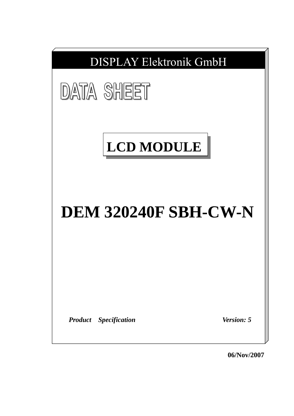

**06/Nov/2007**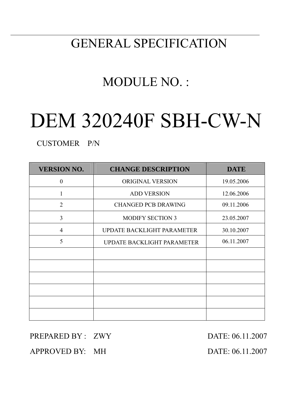# GENERAL SPECIFICATION

# MODULE NO. :

# DEM 320240F SBH-CW-N

CUSTOMER P/N

| <b>VERSION NO.</b> | <b>CHANGE DESCRIPTION</b>         | <b>DATE</b> |
|--------------------|-----------------------------------|-------------|
| $\theta$           | ORIGINAL VERSION                  | 19.05.2006  |
| 1                  | <b>ADD VERSION</b>                | 12.06.2006  |
| $\overline{2}$     | <b>CHANGED PCB DRAWING</b>        | 09.11.2006  |
| 3                  | <b>MODIFY SECTION 3</b>           | 23.05.2007  |
| 4                  | <b>UPDATE BACKLIGHT PARAMETER</b> | 30.10.2007  |
| 5                  | <b>UPDATE BACKLIGHT PARAMETER</b> | 06.11.2007  |
|                    |                                   |             |
|                    |                                   |             |
|                    |                                   |             |
|                    |                                   |             |
|                    |                                   |             |
|                    |                                   |             |

## PREPARED BY : ZWY DATE: 06.11.2007

APPROVED BY: MH DATE: 06.11.2007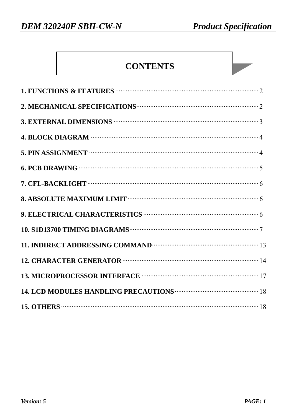## **CONTENTS**

| 1. FUNCTIONS & FEATURES <b>CONSTRAINERS</b> 2                                                                                                                                                                                        |
|--------------------------------------------------------------------------------------------------------------------------------------------------------------------------------------------------------------------------------------|
| 2. MECHANICAL SPECIFICATIONS <b>CONSUMING THE CONSUMING TERM</b> 2                                                                                                                                                                   |
| 3. EXTERNAL DIMENSIONS <b>WEIGHTER AND THE RESIDENT CONTROL</b> 3                                                                                                                                                                    |
|                                                                                                                                                                                                                                      |
| 5. PIN ASSIGNMENT <b>WEIGHT AND SET ASSIGNMENT CONSUMING THE ASSIGNMENT</b>                                                                                                                                                          |
| 6. PCB DRAWING $\cdots$ 5                                                                                                                                                                                                            |
|                                                                                                                                                                                                                                      |
| 8. ABSOLUTE MAXIMUM LIMIT <b>WEIGHTHAMES</b> 6                                                                                                                                                                                       |
| 9. ELECTRICAL CHARACTERISTICS <b>CONSERVERTS</b> 6                                                                                                                                                                                   |
|                                                                                                                                                                                                                                      |
| 11. INDIRECT ADDRESSING COMMAND <b>COMMAND</b> 23                                                                                                                                                                                    |
| 12. CHARACTER GENERATOR <b>CONSUMING THE SET OF A SET OF A SET OF A SET OF A SET OF A SET OF A SET OF A SET OF A SET OF A SET OF A SET OF A SET OF A SET OF A SET OF A SET OF A SET OF A SET OF A SET OF A SET OF A SET OF A SET</b> |
|                                                                                                                                                                                                                                      |
| 14. LCD MODULES HANDLING PRECAUTIONS <b>WEIGHTION STATE</b> 18                                                                                                                                                                       |
|                                                                                                                                                                                                                                      |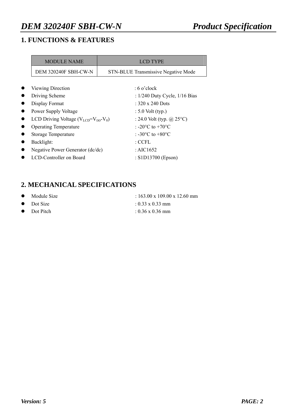## **1. FUNCTIONS & FEATURES**

| <b>MODULE NAME</b>                                                 | <b>LCD TYPE</b>                        |
|--------------------------------------------------------------------|----------------------------------------|
| DEM 320240F SBH-CW-N<br><b>STN-BLUE Transmissive Negative Mode</b> |                                        |
|                                                                    |                                        |
| Viewing Direction                                                  | $:6$ o'clock                           |
| Driving Scheme                                                     | : $1/240$ Duty Cycle, $1/16$ Bias      |
| Display Format                                                     | : 320 x 240 Dots                       |
| Power Supply Voltage                                               | $: 5.0$ Volt (typ.)                    |
| LCD Driving Voltage ( $V_{LCD} = V_{DD} - V_0$ )                   | : 24.0 Volt (typ. $(a)$ 25°C)          |
| <b>Operating Temperature</b>                                       | : -20 $^{\circ}$ C to +70 $^{\circ}$ C |
| <b>Storage Temperature</b>                                         | : -30 $^{\circ}$ C to +80 $^{\circ}$ C |
| Backlight:                                                         | : CCFL                                 |
| Negative Power Generator (dc/dc)                                   | : AIC1652                              |
| LCD-Controller on Board                                            | : S1D13700 (Epson)                     |

## **2. MECHANICAL SPECIFICATIONS**

| $\bullet$ Module Size | $\div 163.00 \times 109.00 \times 12.60$ mm |
|-----------------------|---------------------------------------------|
| $\bullet$ Dot Size    | $\pm 0.33 \times 0.33$ mm                   |
| $\bullet$ Dot Pitch   | $10.36 \times 0.36$ mm                      |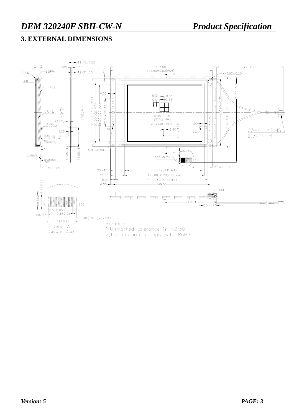## **3. EXTERNAL DIMENSIONS**

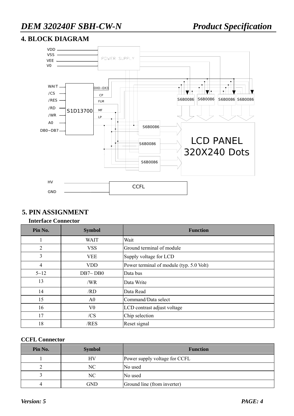## **4. BLOCK DIAGRAM**



#### **5. PIN ASSIGNMENT**

#### **Interface Connector**

| Pin No.  | <b>Symbol</b>  | <b>Function</b>                          |
|----------|----------------|------------------------------------------|
|          | <b>WAIT</b>    | Wait                                     |
| 2        | <b>VSS</b>     | Ground terminal of module                |
| 3        | <b>VEE</b>     | Supply voltage for LCD                   |
| 4        | <b>VDD</b>     | Power terminal of module (typ. 5.0 Volt) |
| $5 - 12$ | DB7~DB0        | Data bus                                 |
| 13       | /WR            | Data Write                               |
| 14       | /RD            | Data Read                                |
| 15       | A <sub>0</sub> | Command/Data select                      |
| 16       | V0             | LCD contrast adjust voltage              |
| 17       | /CS            | Chip selection                           |
| 18       | /RES           | Reset signal                             |

#### **CCFL Connector**

| Pin No. | <b>Symbol</b> | <b>Function</b>               |
|---------|---------------|-------------------------------|
|         | HV            | Power supply voltage for CCFL |
|         | NC            | No used                       |
|         | NC            | No used                       |
|         | GND           | Ground line (from inverter)   |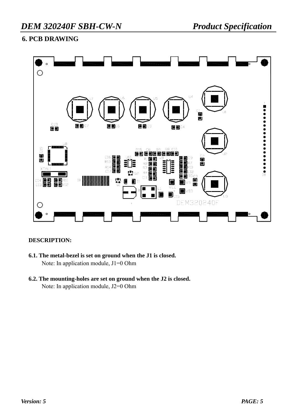## **6. PCB DRAWING**



#### **DESCRIPTION:**

- **6.1. The metal-bezel is set on ground when the J1 is closed.**  Note: In application module, J1=0 Ohm
- **6.2. The mounting-holes are set on ground when the J2 is closed.**  Note: In application module, J2=0 Ohm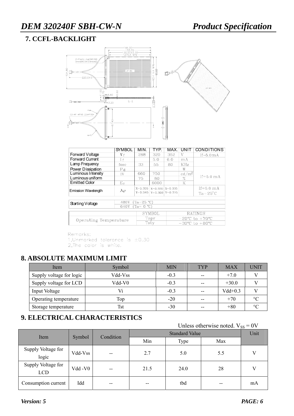## **7. CCFL-BACKLIGHT**



| <b>SYMBOL</b>         | MIN.        | TYP.                               | MAX.                                                | UNIT                                       | <b>CONDITIONS</b>    |  |
|-----------------------|-------------|------------------------------------|-----------------------------------------------------|--------------------------------------------|----------------------|--|
| ۷f                    | 288         | 320                                | 352                                                 | V                                          | $If=5.0mA$           |  |
| I <sub>f</sub>        |             | 5.0                                | 6.0                                                 | mA                                         |                      |  |
| fosc                  | 33          | 55                                 | 80                                                  | <b>KHz</b>                                 |                      |  |
| $P_{\mathbf{d}}$      |             |                                    |                                                     | W                                          |                      |  |
| IV                    | 660         | 750                                |                                                     | $\rm ^{\prime}m^2$<br>ed/                  |                      |  |
|                       | 75          | 80                                 |                                                     | %                                          | $If=5.0 \text{ m A}$ |  |
| Еc                    |             | 6000                               |                                                     | K                                          |                      |  |
| Дp                    | $X = 0.305$ |                                    |                                                     |                                            | $If=5.0 \text{ mA}$  |  |
|                       |             |                                    |                                                     |                                            | $Ta = 25^{\circ}C$   |  |
|                       |             |                                    |                                                     |                                            |                      |  |
| 480V                  |             |                                    |                                                     |                                            |                      |  |
| 640V<br>(Ta= 0 °C)    |             |                                    |                                                     |                                            |                      |  |
|                       |             |                                    |                                                     |                                            | RATINGS              |  |
|                       |             |                                    |                                                     |                                            |                      |  |
| Operating Temperature |             |                                    |                                                     | $-20^{\circ}$ C to $+70^{\circ}$ C         |                      |  |
|                       |             | $-30^{\circ}$ C to $+80^{\circ}$ C |                                                     |                                            |                      |  |
|                       |             |                                    | $Y = 0.345$<br>(Ta=25 °C)<br>SYMBOL<br>Topr<br>Tsty | $X=0.320$ $X=0.335$<br>$Y=0.360$ $Y=0.375$ |                      |  |

Remarks: 1, Unmarked tolerance is  $\pm 0.30$ <br>2, The color is white.

## **8. ABSOLUTE MAXIMUM LIMIT**

| Item                     | Symbol  | <b>MIN</b> | <b>TYP</b> | <b>MAX</b> | UNIT            |
|--------------------------|---------|------------|------------|------------|-----------------|
| Supply voltage for logic | Vdd-Vss | $-0.3$     | $- -$      | $+7.0$     |                 |
| Supply voltage for LCD   | Vdd-V0  | $-0.3$     | $- -$      | $+30.0$    |                 |
| Input Voltage            | Vi      | $-0.3$     | $- -$      | $Vdd+0.3$  |                 |
| Operating temperature    | Top     | $-20$      | $- -$      | $+70$      | $\rm ^{\circ}C$ |
| Storage temperature      | Tst     | $-30$      | $- -$      | $+80$      | $\circ$         |

## **9. ELECTRICAL CHARACTERISTICS**

Unless otherwise noted.  $V_{SS} = 0V$ 

| Item                |         |           |      | Unit |     |    |
|---------------------|---------|-----------|------|------|-----|----|
|                     | Symbol  | Condition | Min  | Type | Max |    |
| Supply Voltage for  | Vdd-Vss | $- -$     | 2.7  | 5.0  | 5.5 |    |
| logic               |         |           |      |      |     |    |
| Supply Voltage for  | Vdd -V0 |           | 21.5 | 24.0 | 28  |    |
| <b>LCD</b>          |         | --        |      |      |     |    |
| Consumption current | Idd     | $- -$     | --   | tbd  | --  | mA |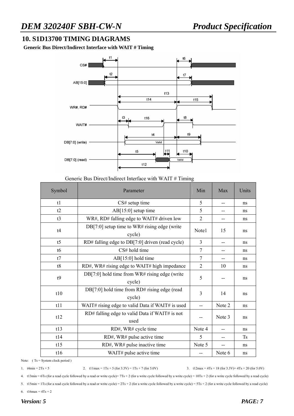#### **10. S1D13700 TIMING DIAGRAMS**

**Generic Bus Direct/Indirect Interface with WAIT # Timing** 



#### Generic Bus Direct/Indirect Interface with WAIT # Timing

| Symbol         | Parameter                                                 | Min            | Max    | Units     |
|----------------|-----------------------------------------------------------|----------------|--------|-----------|
| t1             | $CS#$ setup time                                          | 5              |        | ns        |
| t2             | $AB[15:0]$ setup time                                     | 5              |        | ns        |
| t3             | WR#, RD# falling edge to WAIT# driven low                 | $\overline{2}$ |        | ns        |
| t4             | $DB[7:0]$ setup time to WR# rising edge (write<br>cycle)  | Note1          | 15     | ns        |
| t <sub>5</sub> | RD# falling edge to DB[7:0] driven (read cycle)           | 3              | --     | ns        |
| t6             | CS# hold time                                             | $\overline{7}$ | --     | ns        |
| t7             | AB[15:0] hold time                                        | $\overline{7}$ |        | ns        |
| t8             | RD#, WR# rising edge to WAIT# high impedance              | $\overline{2}$ | 10     | ns        |
| t9             | $DB[7:0]$ hold time from WR# rising edge (write<br>cycle) | 5              |        | ns        |
| t10            | DB[7:0] hold time from RD# rising edge (read<br>cycle)    | 3              | 14     | ns        |
| t11            | WAIT# rising edge to valid Data if WAIT# is used          | $-$            | Note 2 | ns        |
| t12            | RD# falling edge to valid Data if WAIT# is not<br>used    |                | Note 3 | ns        |
| t13            | RD#, WR# cycle time                                       | Note 4         |        | ns        |
| t14            | RD#, WR# pulse active time                                | 5              | --     | <b>Ts</b> |
| t15            | RD#, WR# pulse inactive time                              | Note 5         |        | ns        |
| t16            | WAIT# pulse active time                                   |                | Note 6 | ns        |

Note: (Ts = System clock period)

```
1. t4\text{min} = 2\text{Ts} + 5<br>2. t1\text{lnax} = 1\text{Ts} + 5 (for 3.3\text{V} = 1\text{Ts} + 7 (for 5.0\text{V})<br>3. t12\text{max} = 4\text{Ts} + 18 (for 3.3\text{V} = 4\text{Ts} + 20 (for 5.0\text{V})
```
4. t13min = 6Ts (for a read cycle followed by a read or write cycle)= 7Ts + 2 (for a write cycle followed by a write cycle) = 10Ts + 2 (for a write cycle followed by a read cycle)

5. t15min = 1Ts (for a read cycle followed by a read or write cycle) =  $2Ts + 2$  (for a write cycle followed by a write cycle) =  $5Ts + 2$  (for a write cycle followed by a read cycle)

6.  $t16max = 4Ts + 2$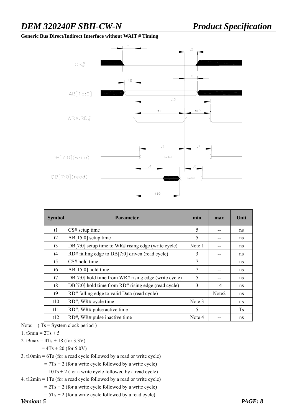#### **Generic Bus Direct/Indirect Interface without WAIT # Timing**



| <b>Symbol</b>  | <b>Parameter</b>                                       | min    | max               | Unit      |
|----------------|--------------------------------------------------------|--------|-------------------|-----------|
| t1             | $CS#$ setup time                                       | 5      |                   | ns        |
| t2             | $AB[15:0]$ setup time                                  | 5      |                   | ns        |
| t3             | $DB[7:0]$ setup time to WR# rising edge (write cycle)  | Note 1 |                   | ns        |
| t4             | $RD#$ falling edge to $DB[7:0]$ driven (read cycle)    | 3      |                   | ns        |
| t <sub>5</sub> | $CS#$ hold time                                        | 7      |                   | ns        |
| t6             | $AB[15:0]$ hold time                                   | 7      | --                | ns        |
| t7             | $DB[7:0]$ hold time from WR# rising edge (write cycle) | 5      |                   | ns        |
| t8             | $DB[7:0]$ hold time from RD# rising edge (read cycle)  | 3      | 14                | ns        |
| t9             | RD# falling edge to valid Data (read cycle)            |        | Note <sub>2</sub> | ns        |
| t10            | RD#, WR# cycle time                                    | Note 3 |                   | ns        |
| t11            | RD#, WR# pulse active time                             | 5      |                   | <b>Ts</b> |
| t12            | RD#, WR# pulse inactive time                           | Note 4 |                   | ns        |

Note:  $(Ts = System clock period)$ 

#### 1. t $3\text{min} = 2Ts + 5$

- 2. t9max =  $4Ts + 18$  (for 3.3V)
	- $= 4Ts + 20$  (for 5.0V)

3. t10min = 6Ts (for a read cycle followed by a read or write cycle)

 $= 7Ts + 2$  (for a write cycle followed by a write cycle)

 $= 10Ts + 2$  (for a write cycle followed by a read cycle)

4. t12min = 1Ts (for a read cycle followed by a read or write cycle)

 $= 2Ts + 2$  (for a write cycle followed by a write cycle)

 $= 5Ts + 2$  (for a write cycle followed by a read cycle)

*Version: 5 PAGE: 8*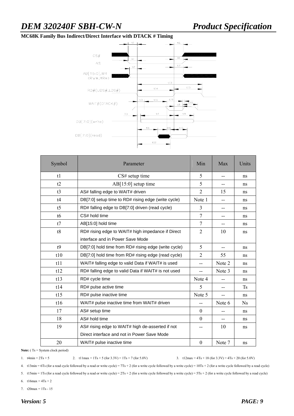#### **MC68K Family Bus Indirect/Direct Interface with DTACK # Timing**



| Symbol | Parameter                                            | Min                      | Max                      | Units     |
|--------|------------------------------------------------------|--------------------------|--------------------------|-----------|
| t1     | $CS#$ setup time                                     | 5                        | $-$                      | ns        |
| t2     | $AB[15:0]$ setup time                                | 5                        | $- -$                    | ns        |
| t3     | AS# falling edge to WAIT# driven                     | $\overline{2}$           | 15                       | ns        |
| t4     | DB[7:0] setup time to RD# rising edge (write cycle)  | Note 1                   | $\overline{a}$           | ns        |
| t5     | RD# falling edge to DB[7:0] driven (read cycle)      | 3                        | $- -$                    | ns        |
| t6     | CS# hold time                                        | 7                        | $-$                      | ns        |
| t7     | AB[15:0] hold time                                   | $\overline{7}$           | $- -$                    | ns        |
| t8     | RD# rising edge to WAIT# high impedance if Direct    | $\overline{2}$           | 10                       | ns        |
|        | interface and in Power Save Mode                     |                          |                          |           |
| t9     | DB[7:0] hold time from RD# rising edge (write cycle) | 5                        | $- -$                    | ns        |
| t10    | DB[7:0] hold time from RD# rising edge (read cycle)  | $\overline{2}$           | 55                       | ns        |
| t11    | WAIT# falling edge to valid Data if WAIT# is used    | $- -$                    | Note 2                   | ns        |
| t12    | RD# falling edge to valid Data if WAIT# is not used  | $\overline{\phantom{a}}$ | Note 3                   | ns        |
| t13    | RD# cycle time                                       | Note 4                   | $-$                      | ns        |
| t14    | RD# pulse active time                                | 5                        | $-$                      | <b>Ts</b> |
| t15    | RD# pulse inactive time                              | Note 5                   | --                       | ns        |
| t16    | WAIT# pulse inactive time from WAIT# driven          | $-$                      | Note 6                   | <b>Ns</b> |
| 17     | AS# setup time                                       | $\theta$                 | $-$                      | ns        |
| 18     | AS# hold time                                        | $\theta$                 | $\overline{\phantom{a}}$ | ns        |
| 19     | AS# rising edge to WAIT# high de-asserted if not     | $-$                      | 10                       | ns        |
|        | Direct interface and not in Power Save Mode          |                          |                          |           |
| 20     | WAIT# pulse inactive time                            | $\boldsymbol{0}$         | Note 7                   | ns        |

Note: (Ts = System clock period)

1.  $t4\text{min} = 2\text{Ts} + 5$  2.  $t1\text{lnax} = 1\text{Ts} + 5$  (for  $3.3\text{V} = 1\text{Ts} + 7$  (for  $5.0\text{V}$ ) 3.  $t12\text{max} = 4\text{Ts} + 18$  (for  $3.3\text{V} = 4\text{Ts} + 20$  (for  $5.0\text{V}$ )

4. t13min = 6Ts (for a read cycle followed by a read or write cycle) = 7Ts + 2 (for a write cycle followed by a write cycle) = 10Ts + 2 (for a write cycle followed by a read cycle)

5. t15min = 1Ts (for a read cycle followed by a read or write cycle) =  $2Ts + 2$  (for a write cycle followed by a write cycle) =  $5Ts + 2$  (for a write cycle followed by a read cycle)

6.  $t16max = 4Ts + 2$ 

7.  $t20max = 1Ts - 15$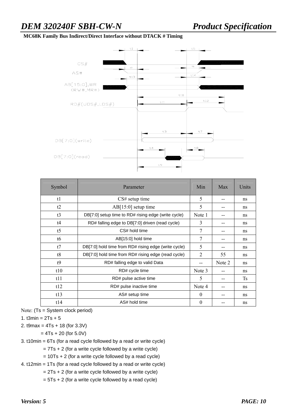#### **MC68K Family Bus Indirect/Direct Interface without DTACK # Timing**



| Symbol         | Parameter                                            | Min            | Max    | Units     |
|----------------|------------------------------------------------------|----------------|--------|-----------|
| t1             | $CS#$ setup time                                     | 5              |        | ns        |
| t2             | $AB[15:0]$ setup time                                | 5              |        | ns        |
| t3             | DB[7:0] setup time to RD# rising edge (write cycle)  | Note 1         |        | ns        |
| t4             | RD# falling edge to DB[7:0] driven (read cycle)      | 3              |        | ns        |
| t <sub>5</sub> | CS# hold time                                        | 7              | --     | ns        |
| t6             | AB[15:0] hold time                                   | 7              |        | ns        |
| t7             | DB[7:0] hold time from RD# rising edge (write cycle) | 5              |        | ns        |
| t8             | DB[7:0] hold time from RD# rising edge (read cycle)  | $\overline{2}$ | 55     | ns        |
| t9             | RD# falling edge to valid Data                       | --             | Note 2 | ns        |
| t10            | RD# cycle time                                       | Note 3         | --     | ns        |
| t11            | RD# pulse active time                                | 5              | --     | <b>Ts</b> |
| t12            | RD# pulse inactive time                              | Note 4         |        | ns        |
| t13            | AS# setup time                                       | $\theta$       |        | ns        |
| t14            | AS# hold time                                        | $\Omega$       |        | ns        |

Note: (Ts = System clock period)

1. t $3min = 2Ts + 5$ 

2. t9max = 4Ts + 18 (for 3.3V)

 $= 4Ts + 20$  (for 5.0V)

3. t10min = 6Ts (for a read cycle followed by a read or write cycle)

 $= 7Ts + 2$  (for a write cycle followed by a write cycle)

 $= 10Ts + 2$  (for a write cycle followed by a read cycle)

4. t12min = 1Ts (for a read cycle followed by a read or write cycle)

 $= 2Ts + 2$  (for a write cycle followed by a write cycle)

 $= 5Ts + 2$  (for a write cycle followed by a read cycle)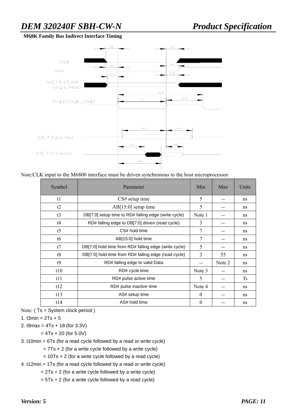#### **M68K Family Bus Indirect Interface Timing**



Note:CLK input to the M6800 interface must be driven synchronous to the host microprocessor.

| Symbol         | Parameter                                             | Min            | Max    | Units     |
|----------------|-------------------------------------------------------|----------------|--------|-----------|
| t1             | $CS#$ setup time                                      | 5              |        | ns        |
| t2             | AB[15:0] setup time                                   | 5              | --     | ns.       |
| t3             | DB[7:0] setup time to RD# falling edge (write cycle)  | Note 1         | --     | ns        |
| t4             | RD# falling edge to DB[7:0] driven (read cycle)       | 3              | --     | ns        |
| t <sub>5</sub> | CS# hold time                                         | 7              | --     | ns        |
| t6             | AB[15:0] hold time                                    | 7              | --     | ns        |
| t7             | DB[7:0] hold time from RD# falling edge (write cycle) | 5              | --     | ns        |
| t8             | DB[7:0] hold time from RD# falling edge (read cycle)  | $\overline{2}$ | 55     | ns        |
| t9             | RD# falling edge to valid Data                        |                | Note 2 | ns        |
| t10            | RD# cycle time                                        | Note 3         | --     | ns        |
| t11            | RD# pulse active time                                 | 5              | --     | <b>Ts</b> |
| t12            | RD# pulse inactive time                               | Note 4         | --     | ns        |
| t13            | AS# setup time                                        | $\Omega$       |        | ns        |
| t14            | AS# hold time                                         | $\Omega$       |        | ns        |

Note: ( Ts = System clock period )

1. t $3min = 2Ts + 5$ 

2. t9max = 4Ts + 18 (for 3.3V)

 $= 4Ts + 20$  (for 5.0V)

3. t10min = 6Ts (for a read cycle followed by a read or write cycle)

 $= 7Ts + 2$  (for a write cycle followed by a write cycle)

 $= 10Ts + 2$  (for a write cycle followed by a read cycle)

4. t12min = 1Ts (for a read cycle followed by a read or write cycle)

 $= 2Ts + 2$  (for a write cycle followed by a write cycle)

 $= 5Ts + 2$  (for a write cycle followed by a read cycle)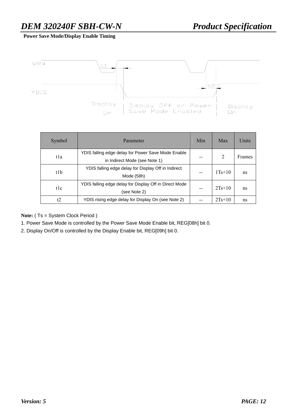**Power Save Mode/Display Enable Timing** 



| Symbol | Parameter                                                                           | Min | Max            | Units  |
|--------|-------------------------------------------------------------------------------------|-----|----------------|--------|
| tla    | YDIS falling edge delay for Power Save Mode Enable<br>in Indirect Mode (see Note 1) |     | $\overline{2}$ | Frames |
| t1b    | YDIS falling edge delay for Display Off in Indirect<br>Mode (58h)                   |     | $1Ts+10$       | ns     |
| tlc    | YDIS falling edge delay for Display Off in Direct Mode<br>(see Note 2)              |     | $2Ts+10$       | ns     |
| t2     | YDIS rising edge delay for Display On (see Note 2)                                  |     | $2Ts+10$       | ns     |

**Note:** ( Ts = System Clock Period )

1. Power Save Mode is controlled by the Power Save Mode Enable bit, REG[08h] bit 0.

2. Display On/Off is controlled by the Display Enable bit, REG[09h] bit 0.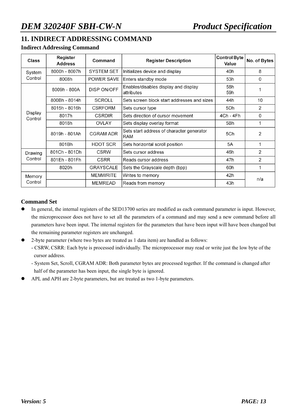## **11. INDIRECT ADDRESSING COMMAND**

#### **Indirect Addressing Command**

| <b>Class</b>                              | Register<br><b>Address</b>   | Command                              | <b>Register Description</b>                      | Control Byte<br>Value | No. of Bytes |
|-------------------------------------------|------------------------------|--------------------------------------|--------------------------------------------------|-----------------------|--------------|
| System                                    | 8000h - 8007h                | <b>SYSTEM SET</b>                    | Initializes device and display                   | 40h                   | 8            |
| Control                                   | 8008h                        | <b>POWER SAVE</b>                    | Enters standby mode                              | 53h                   | 0            |
| DISP ON/OFF<br>8009h - 800A<br>attributes |                              | Enables/disables display and display | 58h<br>59h                                       |                       |              |
|                                           | 800Bh - 8014h                | <b>SCROLL</b>                        | Sets screen block start addresses and sizes      | 44h                   | 10           |
|                                           | 8015h - 8016h                | <b>CSRFORM</b>                       | Sets cursor type                                 | 5Dh                   | 2            |
| Display<br>Control                        | 8017h                        | <b>CSRDIR</b>                        | Sets direction of cursor movement                | 4Ch - 4Fh             | 0            |
|                                           | 8018h                        | <b>OVLAY</b>                         | Sets display overlay format                      | 5Bh                   |              |
|                                           | 8019h - 801Ah                | <b>CGRAM ADR</b>                     | Sets start address of character generator<br>RAM | 5Ch                   | 2            |
|                                           | 801Bh                        | <b>HDOT SCR</b>                      | Sets horizontal scroll position                  | 5A                    | 1            |
| Drawing                                   | 801Ch - 801Dh                | <b>CSRW</b>                          | Sets cursor address                              | 46h                   | 2            |
| Control                                   | 801Eh - 801Fh                | <b>CSRR</b>                          | Reads cursor address                             | 47h                   | 2            |
|                                           | 8020h                        | <b>GRAYSCALE</b>                     | Sets the Grayscale depth (bpp)                   | 60h                   |              |
| Memory                                    |                              | <b>MEMWRITE</b>                      | Writes to memory                                 | 42h                   | n/a          |
| Control                                   | MEMREAD<br>Reads from memory |                                      | 43h                                              |                       |              |

#### **Command Set**

- In general, the internal registers of the SED13700 series are modified as each command parameter is input. However, the microprocessor does not have to set all the parameters of a command and may send a new command before all parameters have been input. The internal registers for the parameters that have been input will have been changed but the remaining parameter registers are unchanged.
- 2-byte parameter (where two bytes are treated as 1 data item) are handled as follows:
	- CSRW, CSRR: Each byte is processed individually. The microprocessor may read or write just the low byte of the cursor address.
	- System Set, Scroll, CGRAM ADR: Both parameter bytes are processed together. If the command is changed after half of the parameter has been input, the single byte is ignored.
- APL and APH are 2-byte parameters, but are treated as two 1-byte parameters.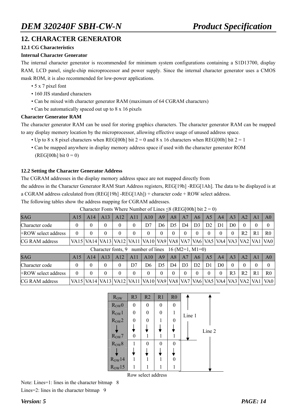#### **12. CHARACTER GENERATOR**

#### **12.1 CG Characteristics**

#### **Internal Character Generator**

The internal character generator is recommended for minimum system configurations containing a S1D13700, display RAM, LCD panel, single-chip microprocessor and power supply. Since the internal character generator uses a CMOS mask ROM, it is also recommended for low-power applications.

- 5 x 7 pixel font
- 160 JIS standard characters
- Can be mixed with character generator RAM (maximum of 64 CGRAM characters)
- Can be automatically spaced out up to 8 x 16 pixels

#### **Character Generator RAM**

The character generator RAM can be used for storing graphics characters. The character generator RAM can be mapped to any display memory location by the microprocessor, allowing effective usage of unused address space.

- Up to 8 x 8 pixel characters when REG[00h] bit  $2 = 0$  and 8 x 16 characters when REG[00h] bit  $2 = 1$
- Can be mapped anywhere in display memory address space if used with the character generator ROM  $(REG[00h] bit 0 = 0)$

#### **12.2 Setting the Character Generator Address**

The CGRAM addresses in the display memory address space are not mapped directly from

the address in the Character Generator RAM Start Address registers, REG[19h] -REG[1Ah]. The data to be displayed is at a CGRAM address calculated from (REG[19h] -REG[1Ah]) + character code + ROW select address.

The following tables show the address mapping for CGRAM addresses.

| <b>SAG</b>                                                   | A15      |                                                                                                     | $A14$   $A13$   $A12$ |  | A11 | $A10$ $A9$ |    | A8 | A7 |                | $A6 \mid A5 \mid$ | A4             | $\overline{A3}$ | A2             |    | A <sub>0</sub> |
|--------------------------------------------------------------|----------|-----------------------------------------------------------------------------------------------------|-----------------------|--|-----|------------|----|----|----|----------------|-------------------|----------------|-----------------|----------------|----|----------------|
| Character code                                               |          |                                                                                                     |                       |  |     |            | D6 |    | D4 | D <sub>3</sub> | D2                | D <sub>1</sub> | D <sub>0</sub>  |                |    |                |
| +ROW select address                                          | $\Omega$ |                                                                                                     |                       |  |     |            |    |    |    |                |                   |                | $\Omega$        | R <sub>2</sub> | R1 | R <sub>0</sub> |
| <b>CG RAM address</b>                                        |          | VA15   VA14   VA13   VA12   VA11   VA10   VA9   VA8   VA7   VA6   VA5   VA4   VA3   VA2   VA1   VA0 |                       |  |     |            |    |    |    |                |                   |                |                 |                |    |                |
| Character fonts, 9 number of lines $16 \text{ (M2=1, M1=0)}$ |          |                                                                                                     |                       |  |     |            |    |    |    |                |                   |                |                 |                |    |                |

Character Fonts Where Number of Lines  $\leq 8$  (REG[00h] bit 2 = 0)

|                     | Character Toms, $\lambda$ -humocr of thics $\lambda$ to $(M2-1, M1-0)$                              |  |      |     |     |     |    |                |                |                 |    |                |                |                |                |
|---------------------|-----------------------------------------------------------------------------------------------------|--|------|-----|-----|-----|----|----------------|----------------|-----------------|----|----------------|----------------|----------------|----------------|
| <b>SAG</b>          |                                                                                                     |  | AA13 | A12 | A11 | A10 | A9 | A8             | A7             | A6 <sup>1</sup> | A5 | A <sup>4</sup> | AA             | A <sub>2</sub> | A <sub>0</sub> |
| Character code      |                                                                                                     |  |      |     |     | D6  |    | D <sub>4</sub> | D <sub>3</sub> | D <sub>2</sub>  | D1 | D <sub>0</sub> |                |                |                |
| +ROW select address | 0                                                                                                   |  |      |     |     |     |    |                |                |                 |    |                | R <sub>3</sub> | R <sub>2</sub> | R <sub>0</sub> |
| CG RAM address      | VA15   VA14   VA13   VA12   VA11   VA10   VA9   VA8   VA7   VA6   VA5   VA4   VA3   VA2   VA1   VA0 |  |      |     |     |     |    |                |                |                 |    |                |                |                |                |

| <b>Row</b> | R <sub>3</sub> | R2               | R1               | R <sub>0</sub> |        |
|------------|----------------|------------------|------------------|----------------|--------|
| $R_{OW}0$  | $\theta$       | $\boldsymbol{0}$ | $\boldsymbol{0}$ | $\theta$       |        |
| $R_{OW}1$  | 0              | 0                | $\theta$         |                | Line 1 |
| $R_{OW}2$  | $\theta$       | 0                |                  | 0              |        |
|            |                |                  |                  |                | Line 2 |
| $R_{OW}7$  | 0              | 1                |                  |                |        |
| $R_{OW}8$  |                | $\theta$         | $\Omega$         | 0              |        |
|            |                |                  |                  |                |        |
| $R_{OW}14$ |                | 1                |                  |                |        |
| $R_{OW}15$ | 1              | 1                |                  |                |        |

Row select address

Note: Lines=1: lines in the character bitmap 8

Lines=2: lines in the character bitmap 9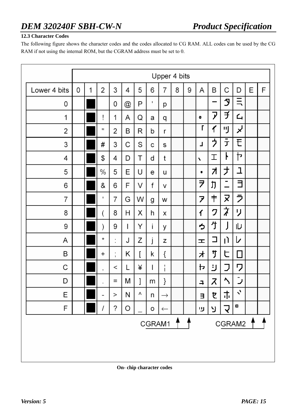#### **12.3 Character Codes**

The following figure shows the character codes and the codes allocated to CG RAM. ALL codes can be used by the CG RAM if not using the internal ROM, but the CGRAM address must be set to 0.

|              |   | Upper 4 bits |           |                |                           |   |              |               |         |   |                    |    |               |                |   |   |
|--------------|---|--------------|-----------|----------------|---------------------------|---|--------------|---------------|---------|---|--------------------|----|---------------|----------------|---|---|
| Lower 4 bits | 0 | 1            | 2         | 3              | 4                         | 5 | 6            | 7             | 8       | 9 | Α                  | B  | C             | D              | E | F |
| 0            |   |              |           | 0              | $^\text{\textregistered}$ | P | $\mathbf{I}$ | р             |         |   |                    | -  | J             | $\equiv$       |   |   |
| 1            |   |              | ļ         | 1              | A                         | Q | а            | q             |         |   | ۰                  | ア  | ヺ             | 4              |   |   |
| 2            |   |              | .,        | 2              | В                         | R | b            | r             |         |   | Г                  | 亻  | 可             | لړ             |   |   |
| 3            |   |              | #         | 3              | С                         | S | с            | S             |         |   | L                  | ゥ  | 丁             | E              |   |   |
| 4            |   |              | \$        | 4              | D                         | Τ | d            | t             |         |   | $\bar{\mathbf{v}}$ | 工  | ŀ             | Þ              |   |   |
| 5            |   |              | $\%$      | 5              | Е                         | U | е            | u             |         |   | ٠                  | オ  | ナ             | 그              |   |   |
| 6            |   |              | &         | 6              | F                         | V | f            | v             |         |   | ヲ                  | 刀  | -<br>$\equiv$ | 彐              |   |   |
| 7            |   |              | ٠         | 7              | G                         | W | g            | W             |         |   | 7                  | 肀  | ヌ             | ラ              |   |   |
| 8            |   |              | (         | 8              | H                         | X | h            | X             |         |   | $\mathbf f$        | ク  | ょうかん オントランド   | リ              |   |   |
| 9            |   |              | )         | 9              | I                         | Υ | i            | У             |         |   | っ                  | 亇  |               | ıυ             |   |   |
| Α            |   |              | $^\star$  | ٠<br>$\cdot$   | J                         | Ζ | J            | Z             |         |   | 工                  | ⊐  | IJ            | レ              |   |   |
| B            |   |              | $\ddot{}$ | ٠<br>$\bar{1}$ | Κ                         | I | k            | {             |         |   | 才                  | サ  | ヒ             | $\Box$         |   |   |
| С            |   |              | ,         | $\,<$          | L                         | ¥ | $\mathsf{I}$ | 1<br>ı        |         |   | ╊                  | لأ | J             | ワ              |   |   |
| D            |   |              |           | Ξ              | М                         | ] | m            | }             |         |   | ÷,                 | ス  | $\Delta$      | رأ             |   |   |
| Ε            |   |              | -         | $\rm{>}$       | N                         | Λ | n            | $\rightarrow$ |         |   | Е                  | セ  | 市             | $\mathbf{v}$   |   |   |
| F            |   |              | I         | ?              | O                         |   | o            | $\leftarrow$  |         |   | ௶                  | У  | J             | $\blacksquare$ |   |   |
|              |   |              |           |                |                           |   |              | CGRAM1        | $+$ $+$ |   |                    |    | CGRAM2        |                |   |   |
|              |   |              |           |                |                           |   |              |               |         |   |                    |    |               |                |   |   |

**On- chip character codes**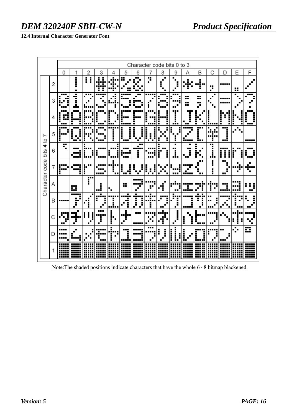#### **12.4 Internal Character Generator Font**

|                            |   |                          | Character code bits 0 to 3 |                     |                   |                       |                                                |                                      |                           |   |                   |                     |                          |                     |             |             |                      |
|----------------------------|---|--------------------------|----------------------------|---------------------|-------------------|-----------------------|------------------------------------------------|--------------------------------------|---------------------------|---|-------------------|---------------------|--------------------------|---------------------|-------------|-------------|----------------------|
|                            |   | 0                        |                            | 2                   | 3                 |                       | 5                                              | 6                                    |                           | 8 | 9                 | Α                   | В                        | С                   | D           | E           | F                    |
|                            | 2 |                          | i<br>٠                     | I<br>Ξ              |                   |                       | H                                              |                                      | Ŧ                         | п |                   | ┱                   | ▬<br>п<br>▬              | ٠<br>٠              |             | ₩           |                      |
|                            | 3 | ---<br>Ξ                 | ÷<br>l<br>u i s            |                     |                   |                       | ╏                                              |                                      |                           |   |                   | --<br>.,<br>--<br>╍ | ╍<br>▄▄<br><br>■         | ■                   |             |             |                      |
|                            | 4 | Ē<br>Ī.<br>Ē<br>ī<br>--- | <b>HH</b>                  |                     |                   |                       | --                                             |                                      | <br>ī                     |   | <br>I<br>.i.      | н.<br>--            |                          | г<br>               | H<br>E      | i<br>i      | w<br>I<br><b>BRB</b> |
|                            | 5 | --<br>Ī.<br>i            |                            |                     |                   |                       | $\blacksquare$<br>Ē<br>٠<br>٠<br>■<br>■<br>--- | ▬<br>٠<br>٠                          |                           |   | H                 | ----                | --<br>---                |                     |             |             | -----                |
| Character code bits 4 to 7 | 6 | r                        |                            | īп                  |                   | Г                     | <b>HE</b>                                      | ╥<br>n<br>n                          |                           | ī | ٠<br><br>г<br>j.  | <br>▬<br>œ          | Ε                        | m                   | į<br>Ī<br>Ī | Н<br>■      | ۳<br>┲               |
|                            | 7 | 1<br>Н                   | 1                          | r<br>Ī              |                   | ■<br>■<br>■<br>       | İ<br>J<br>œ                                    |                                      | I<br>J.<br>٠              |   | ■<br>╍<br>╍<br>-- | ----                | <br>■<br>--              | ∎<br>■<br>ш         | ┅<br>       |             | 76 S S S<br>■        |
|                            | Α |                          | ×                          | T                   | г<br>٠<br>ē<br>wi | п                     | --<br>≡                                        |                                      |                           | ٠ | п.                | ■<br>-----          |                          | i<br>$\blacksquare$ | п<br>       | .<br>г<br>. | -<br>--              |
|                            | B |                          | -----<br>■<br>Н            | П<br>Ξ              | ٠                 | .                     | п                                              | $\blacksquare$<br>--<br>п<br>Ĵ.<br>■ | $\blacksquare$<br>.,<br>i | ٠ | Η                 | <b>----</b>         | ▬<br>٠<br>$\blacksquare$ |                     |             | Е<br>■■     |                      |
|                            |   |                          | п                          | I<br>$\blacksquare$ | <br>Η             | I<br>ш<br>È<br>п<br>ī | !<br>▬                                         | 88 E                                 |                           |   | г<br>п            |                     |                          |                     |             | ▄           |                      |
|                            | D | ----                     |                            |                     |                   | п<br>٠                | ╍<br>п<br>п                                    |                                      |                           |   | i<br>E            |                     |                          |                     |             |             | ---<br>₩             |
|                            |   |                          |                            |                     |                   |                       |                                                |                                      |                           |   | н.                |                     |                          |                     |             |             |                      |

Note:The shaded positions indicate characters that have the whole 6 ⋅ 8 bitmap blackened.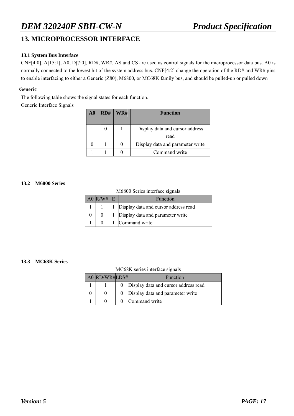#### **13. MICROPROCESSOR INTERFACE**

#### **13.1 System Bus Interface**

CNF[4:0], A[15:1], A0, D[7:0], RD#, WR#, AS and CS are used as control signals for the microprocessor data bus. A0 is normally connected to the lowest bit of the system address bus. CNF[4:2] change the operation of the RD# and WR# pins to enable interfacing to either a Generic (Z80), M6800, or MC68K family bus, and should be pulled-up or pulled down

#### **Generic**

The following table shows the signal states for each function.

Generic Interface Signals

| $\bf{A0}$ | RD# | WR# | <b>Function</b>                  |
|-----------|-----|-----|----------------------------------|
|           |     |     |                                  |
|           |     |     | Display data and cursor address  |
|           |     |     | read                             |
|           |     |     | Display data and parameter write |
|           |     |     | Command write                    |

#### **13.2 M6800 Series**

M6800 Series interface signals

| A0 R/W# | Function                               |
|---------|----------------------------------------|
|         | 1 Display data and cursor address read |
|         | Display data and parameter write       |
|         | Command write                          |

#### **13.3 MC68K Series**

MC68K series interface signals

| A0 RD/WR#LDS# | Function                             |
|---------------|--------------------------------------|
|               | Display data and cursor address read |
|               | Display data and parameter write     |
|               | Command write                        |